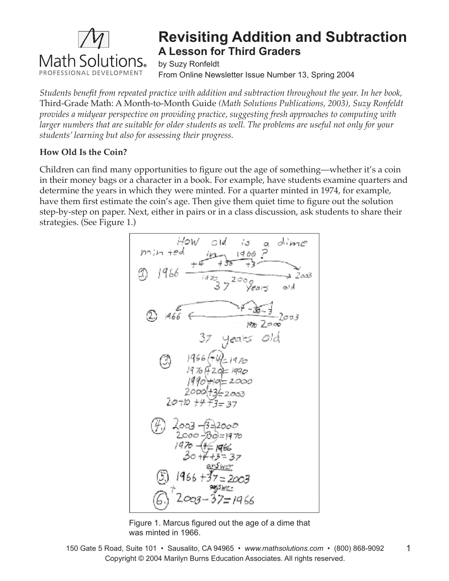

# **Revisiting Addition and Subtraction A Lesson for Third Graders**

by Suzy Ronfeldt From Online Newsletter Issue Number 13, Spring 2004

*Students benefi t from repeated practice with addition and subtraction throughout the year. In her book,*  Third-Grade Math: A Month-to-Month Guide *(Math Solutions Publications, 2003), Suzy Ronfeldt provides a midyear perspective on providing practice, suggesting fresh approaches to computing with larger numbers that are suitable for older students as well. The problems are useful not only for your students' learning but also for assessing their progress.* 

# **How Old Is the Coin?**

Children can find many opportunities to figure out the age of something—whether it's a coin in their money bags or a character in a book. For example, have students examine quarters and determine the years in which they were minted. For a quarter minted in 1974, for example, have them first estimate the coin's age. Then give them quiet time to figure out the solution step-by-step on paper. Next, either in pairs or in a class discussion, ask students to share their strategies. (See Figure 1.)



Figure 1. Marcus figured out the age of a dime that was minted in 1966.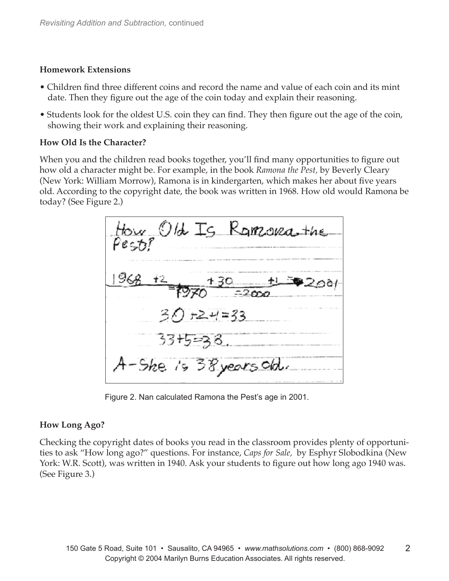#### **Homework Extensions**

- Children find three different coins and record the name and value of each coin and its mint date. Then they figure out the age of the coin today and explain their reasoning.
- Students look for the oldest U.S. coin they can find. They then figure out the age of the coin, showing their work and explaining their reasoning.

#### **How Old Is the Character?**

When you and the children read books together, you'll find many opportunities to figure out how old a character might be. For example, in the book *Ramona the Pest,* by Beverly Cleary (New York: William Morrow), Ramona is in kindergarten, which makes her about five years old. According to the copyright date, the book was written in 1968. How old would Ramona be today? (See Figure 2.)



Figure 2. Nan calculated Ramona the Pest's age in 2001.

## **How Long Ago?**

Checking the copyright dates of books you read in the classroom provides plenty of opportunities to ask "How long ago?" questions. For instance, *Caps for Sale,* by Esphyr Slobodkina (New York: W.R. Scott), was written in 1940. Ask your students to figure out how long ago 1940 was. (See Figure 3.)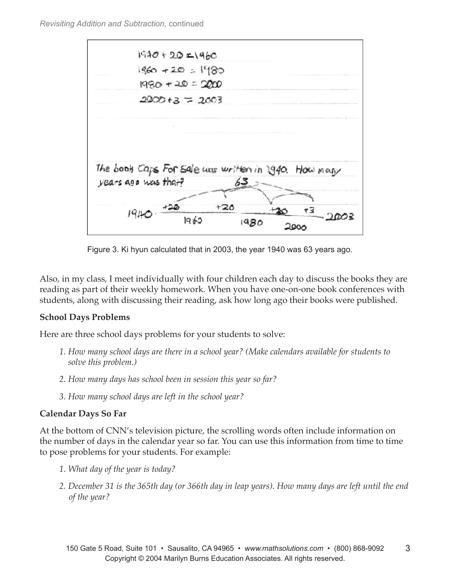

Figure 3. Ki hyun calculated that in 2003, the year 1940 was 63 years ago.

Also, in my class, I meet individually with four children each day to discuss the books they are reading as part of their weekly homework. When you have one-on-one book conferences with students, along with discussing their reading, ask how long ago their books were published.

## **School Days Problems**

Here are three school days problems for your students to solve:

- *1. How many school days are there in a school year? (Make calendars available for students to solve this problem.)*
- *2. How many days has school been in session this year so far?*
- *3. How many school days are left in the school year?*

## **Calendar Days So Far**

At the bottom of CNN's television picture, the scrolling words often include information on the number of days in the calendar year so far. You can use this information from time to time to pose problems for your students. For example:

- *1. What day of the year is today?*
- *2. December 31 is the 365th day (or 366th day in leap years). How many days are left until the end of the year?*